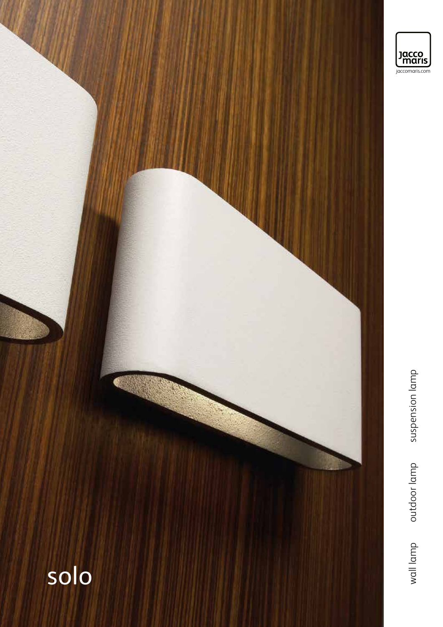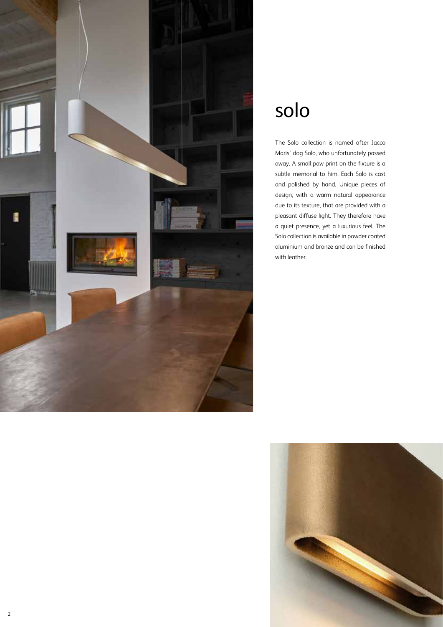

## solo

The Solo collection is named after Jacco Maris' dog Solo, who unfortunately passed away. A small paw print on the fixture is a subtle memorial to him. Each Solo is cast and polished by hand. Unique pieces of design, with a warm natural appearance due to its texture, that are provided with a pleasant diffuse light. They therefore have a quiet presence, yet a luxurious feel. The Solo collection is available in powder coated aluminium and bronze and can be finished with leather.

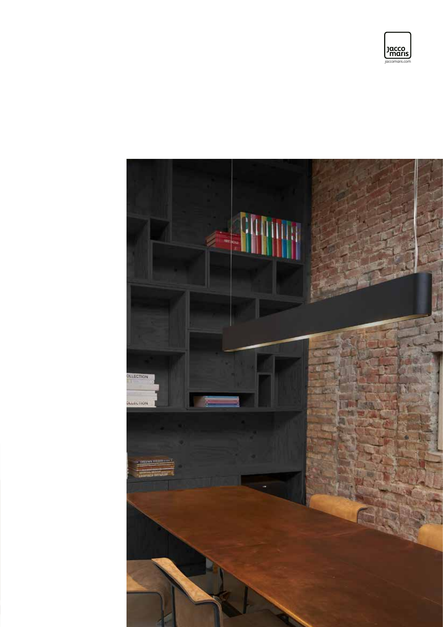

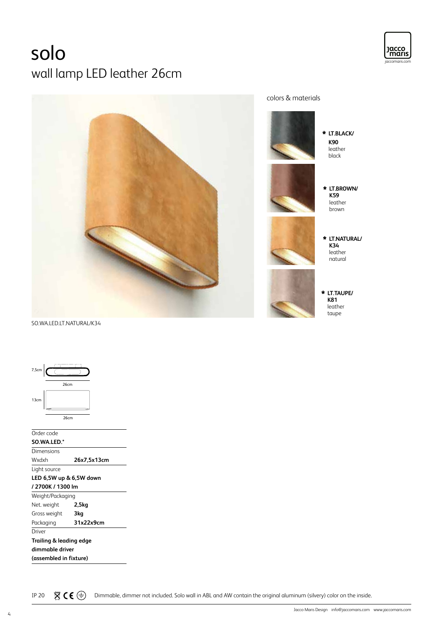## solo wall lamp LED leather 26cm





SO.WA.LED.LT.NATURAL/K34

| 7,5cm                   |                        |                         |  |
|-------------------------|------------------------|-------------------------|--|
|                         | 26cm                   |                         |  |
| 13cm                    |                        |                         |  |
|                         | 26cm                   |                         |  |
| Order code              |                        |                         |  |
|                         | SO.WA.LED.*            |                         |  |
| Dimensions              |                        |                         |  |
| Wxdxh                   |                        | 26x7,5x13cm             |  |
|                         | Light source           |                         |  |
|                         |                        | LED 6,5W up & 6,5W down |  |
|                         | /2700K/1300 lm         |                         |  |
|                         | Weight/Packaging       |                         |  |
| Net. weight             |                        | 2,5kg                   |  |
|                         | Gross weight           | 3kg                     |  |
| Packaging               |                        | 31x22x9cm               |  |
| Driver                  |                        |                         |  |
| Trailing & leading edge |                        |                         |  |
| dimmable driver         |                        |                         |  |
|                         | (assembled in fixture) |                         |  |
|                         |                        |                         |  |

IP 20  $\overline{X}$   $\zeta \in \bigoplus$  Dimmable, dimmer not included. Solo wall in ABL and AW contain the original aluminum (silvery) color on the inside.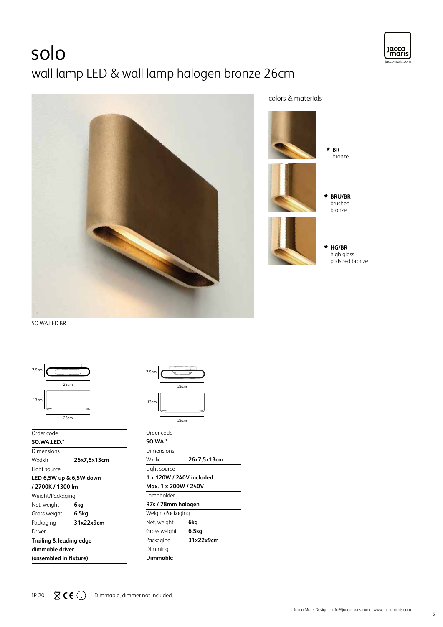# solo







**BRU/BR** brushed bronze **HG/BR** high gloss polished bronze

SO.WA.LED.BR



| Order code              |             |  |
|-------------------------|-------------|--|
| SO.WA.LED.*             |             |  |
| Dimensions              |             |  |
| Wxdxh                   | 26x7,5x13cm |  |
| Light source            |             |  |
| LED 6,5W up & 6,5W down |             |  |
| / 2700K / 1300 lm       |             |  |
| Weight/Packaging        |             |  |
| Net. weight             | 6kg         |  |
| Gross weight            | 6,5kg       |  |
| Packaging               | 31x22x9cm   |  |
| Driver                  |             |  |
| Trailing & leading edge |             |  |
| dimmable driver         |             |  |
| (assembled in fixture)  |             |  |

| 7,5cm          |            |      |  |
|----------------|------------|------|--|
|                |            | 26cm |  |
| 13cm           |            |      |  |
|                |            | 26cm |  |
|                | Order code |      |  |
| <b>SO.WA.*</b> |            |      |  |

| <b>SO.WA.*</b>           |             |
|--------------------------|-------------|
| Dimensions               |             |
| Wxdxh                    | 26x7,5x13cm |
| Light source             |             |
| 1 x 120W / 240V included |             |
| Max. 1 x 200W / 240V     |             |
| Lampholder               |             |
| R7s / 78mm halogen       |             |
| Weight/Packaging         |             |
| Net. weight              | 6ka         |
| Gross weight             | 6.5kg       |
| Packaging                | 31x22x9cm   |
| Dimming                  |             |
| Dimmable                 |             |

jaccomaris.com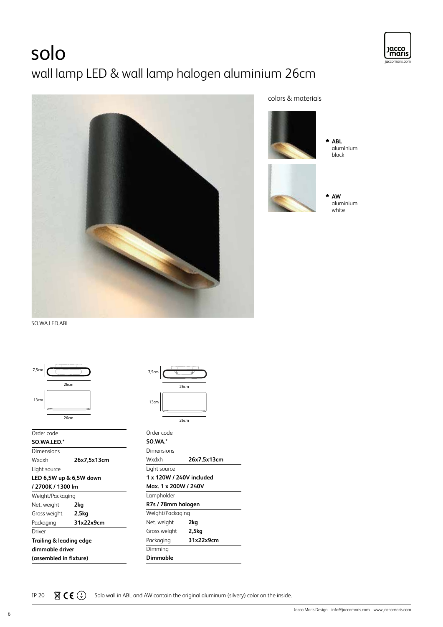# solo wall lamp LED & wall lamp halogen aluminium 26cm





### colors & materials



aluminium

SO.WA.LED.ABL



| Order code              |             |  |
|-------------------------|-------------|--|
| SO.WA.LED.*             |             |  |
| Dimensions              |             |  |
| Wxdxh                   | 26x7,5x13cm |  |
| Light source            |             |  |
| LED 6,5W up & 6,5W down |             |  |
| / 2700K / 1300 lm       |             |  |
| Weight/Packaging        |             |  |
| Net. weight             | 2kg         |  |
| Gross weight            | 2,5kg       |  |
| Packaging               | 31x22x9cm   |  |
| Driver                  |             |  |
| Trailing & leading edge |             |  |
| dimmable driver         |             |  |
| (assembled in fixture)  |             |  |

| 7,5cm          |                          |
|----------------|--------------------------|
|                | 26cm                     |
| 13cm           |                          |
|                | 26cm                     |
| Order code     |                          |
| <b>SO.WA.*</b> |                          |
| Dimensions     |                          |
| Wxdxh          | 26x7,5x13cm              |
| Light source   |                          |
|                | 1 x 120W / 240V included |
|                | Max. 1 x 200W / 240V     |
| Lampholder     |                          |
|                | R7s / 78mm halogen       |

| R7s / 78mm halogen |           |  |
|--------------------|-----------|--|
| Weight/Packaging   |           |  |
| Net. weight        | 2ka       |  |
| Gross weight       | 2,5kg     |  |
| Packaging          | 31x22x9cm |  |
| Dimming            |           |  |
| Dimmable           |           |  |

IP 20  $\overline{X}$   $\zeta \in \bigoplus$  Solo wall in ABL and AW contain the original aluminum (silvery) color on the inside.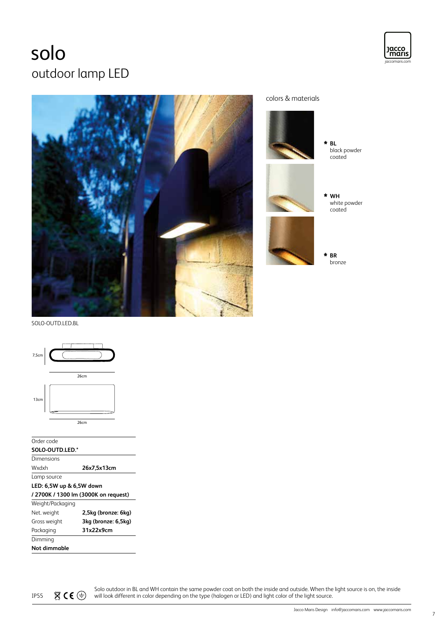### jaccomaris.com jaccomaris.com solo outdoor lamp LED



colors & materials **WH** white powder coated **BL** black powder coated **BR**

bronze

Jacco<br>maris

SOLO-OUTD.LED.BL



#### Order code

| SOLO-OUTD.LED.*          |                                      |  |
|--------------------------|--------------------------------------|--|
| Dimensions               |                                      |  |
| Wxdxh                    | 26x7,5x13cm                          |  |
| Lamp source              |                                      |  |
| LED: 6.5W up & 6,5W down |                                      |  |
|                          | / 2700K / 1300 lm (3000K on request) |  |
| Weight/Packaging         |                                      |  |
| Net. weight              | 2,5kg (bronze: 6kg)                  |  |

| Gross weight | 3kg (bronze: 6,5kg) |  |
|--------------|---------------------|--|
| Packaging    | 31x22x9cm           |  |
| Dimming      |                     |  |
| Not dimmable |                     |  |

Solo outdoor in BL and WH contain the same powder coat on both the inside and outside. When the light source is on, the inside IP55  $\mathbb{X} \subset \mathbb{C}$   $\Rightarrow$  will look different in color depending on the type (halogen or LED) and light color of the light source.

7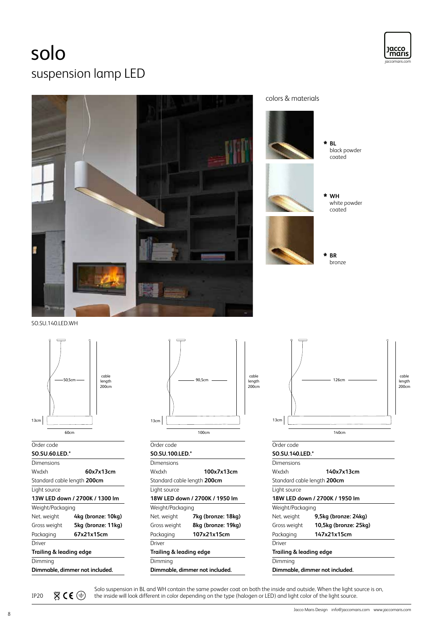### solo suspension lamp LED





colors & materials



SO.SU.140.LED.WH



#### Order code **SO.SU.60.LED.\***

| SU.SU.OU.LED.               |                                |  |
|-----------------------------|--------------------------------|--|
| Dimensions                  |                                |  |
| Wxdxh<br>60x7x13cm          |                                |  |
| Standard cable length 200cm |                                |  |
| Light source                |                                |  |
|                             | 13W LED down / 2700K / 1300 lm |  |
| Weight/Packaging            |                                |  |
| Net. weight                 | 4kg (bronze: 10kg)             |  |
| Gross weight                | 5kg (bronze: 11kg)             |  |
| Packaging                   | 67x21x15cm                     |  |
| Driver                      |                                |  |
| Trailing & leading edge     |                                |  |
| Dimming                     |                                |  |
|                             | Dimmable, dimmer not included. |  |



| Order code                         |                                |
|------------------------------------|--------------------------------|
| SO.SU.100.LED.*                    |                                |
| Dimensions                         |                                |
| Wxdxh                              | 100x7x13cm                     |
| Standard cable length <b>200cm</b> |                                |
| Light source                       |                                |
|                                    | 18W LED down / 2700K / 1950 lm |
| Weight/Packaging                   |                                |
| Net. weight                        | 7kg (bronze: 18kg)             |
| Gross weight                       | 8kg (bronze: 19kg)             |
| Packaging                          | 107x21x15cm                    |
| Driver                             |                                |
| Trailing & leading edge            |                                |
| Dimming                            |                                |
|                                    | Dimmable, dimmer not included. |



### Order code **SO.SU.140.LED.\* Dimensions** Wxdxh **140x7x13cm**  Standard cable length **200cm**  Light source **18W LED down / 2700K / 1950 lm** Weight/Packaging Net. weight **9,5kg (bronze: 24kg)** Gross weight **10,5kg (bronze: 25kg)** Packaging **147x21x15cm** Driver **Trailing & leading edge** Dimming **Dimmable, dimmer not included.**

Solo suspension in BL and WH contain the same powder coat on both the inside and outside. When the light source is on,<br>IP20  $\mathbb{Z} \subset \mathbb{C}$  the inside will look different in color depending on the type (halogen or LED) a the inside will look different in color depending on the type (halogen or LED) and light color of the light source.